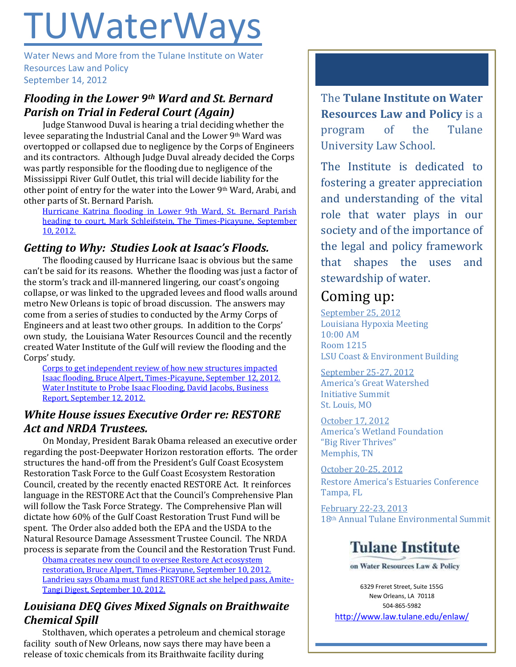# **TUWaterWays**

Water News and More from the Tulane Institute on Water Resources Law and Policy September 14, 2012

## *Flooding in the Lower 9th Ward and St. Bernard Parish on Trial in Federal Court (Again)*

Judge Stanwood Duval is hearing a trial deciding whether the levee separating the Industrial Canal and the Lower 9th Ward was overtopped or collapsed due to negligence by the Corps of Engineers and its contractors. Although Judge Duval already decided the Corps was partly responsible for the flooding due to negligence of the Mississippi River Gulf Outlet, this trial will decide liability for the other point of entry for the water into the Lower 9th Ward, Arabi, and other parts of St. Bernard Parish.

[Hurricane Katrina flooding in Lower 9th Ward, St. Bernard Parish](http://www.nola.com/katrina/index.ssf/2012/09/hurricane_katrina_flooding_in.html)  [heading to court, Mark Schleifstein, The Times-Picayune, September](http://www.nola.com/katrina/index.ssf/2012/09/hurricane_katrina_flooding_in.html)  [10, 2012.](http://www.nola.com/katrina/index.ssf/2012/09/hurricane_katrina_flooding_in.html)

## *Getting to Why: Studies Look at Isaac's Floods.*

The flooding caused by Hurricane Isaac is obvious but the same can't be said for its reasons. Whether the flooding was just a factor of the storm's track and ill-mannered lingering, our coast's ongoing collapse, or was linked to the upgraded levees and flood walls around metro New Orleans is topic of broad discussion. The answers may come from a series of studies to conducted by the Army Corps of Engineers and at least two other groups. In addition to the Corps' own study, the Louisiana Water Resources Council and the recently created Water Institute of the Gulf will review the flooding and the Corps' study.

[Corps to get independent review of how new structures impacted](http://www.nola.com/politics/index.ssf/2012/09/corps_to_get_independent_revie.html)  [Isaac flooding, Bruce Alpert, Times-Picayune, September 12, 2012.](http://www.nola.com/politics/index.ssf/2012/09/corps_to_get_independent_revie.html) [Water Institute to Probe Isaac Flooding, David Jacobs, Business](http://businessreport.com/article/20120912/BUSINESSREPORT0112/120919910/-1/daily-reportPM)  [Report, September 12, 2012.](http://businessreport.com/article/20120912/BUSINESSREPORT0112/120919910/-1/daily-reportPM)

## *White House issues Executive Order re: RESTORE Act and NRDA Trustees.*

On Monday, President Barak Obama released an executive order regarding the post-Deepwater Horizon restoration efforts. The order structures the hand-off from the President's Gulf Coast Ecosystem Restoration Task Force to the Gulf Coast Ecosystem Restoration Council, created by the recently enacted RESTORE Act. It reinforces language in the RESTORE Act that the Council's Comprehensive Plan will follow the Task Force Strategy. The Comprehensive Plan will dictate how 60% of the Gulf Coast Restoration Trust Fund will be spent. The Order also added both the EPA and the USDA to the Natural Resource Damage Assessment Trustee Council. The NRDA process is separate from the Council and the Restoration Trust Fund.

[Obama creates new council to oversee Restore Act ecosystem](http://www.nola.com/politics/index.ssf/2012/09/obama_creates_new_council_to_o.html)  [restoration, Bruce Alpert, Times-Picayune, September 10, 2012.](http://www.nola.com/politics/index.ssf/2012/09/obama_creates_new_council_to_o.html) [Landrieu says Obama must fund RESTORE act she helped pass, Amite-](http://www.amitetoday.com/view/full_story/20105017/article-Landrieu-says-Obama-must-fund-RESTORE-act-she-helped-pass)[Tangi Digest, September 10, 2012.](http://www.amitetoday.com/view/full_story/20105017/article-Landrieu-says-Obama-must-fund-RESTORE-act-she-helped-pass)

### *Louisiana DEQ Gives Mixed Signals on Braithwaite Chemical Spill*

Stolthaven, which operates a petroleum and chemical storage facility south of New Orleans, now says there may have been a release of toxic chemicals from its Braithwaite facility during

The **Tulane Institute on Water Resources Law and Policy** is a program of the Tulane University Law School.

The Institute is dedicated to fostering a greater appreciation and understanding of the vital role that water plays in our society and of the importance of the legal and policy framework that shapes the uses and stewardship of water.

## Coming up:

September 25, 2012 Louisiana Hypoxia Meeting 10:00 AM Room 1215 LSU Coast & Environment Building

September 25-27, 2012 America's Great Watershed Initiative Summit St. Louis, MO

October 17, 2012 America's Wetland Foundation "Big River Thrives" Memphis, TN

October 20-25, 2012 Restore America's Estuaries Conference Tampa, FL

February 22-23, 2013 18th Annual Tulane Environmental Summit

## **Tulane Institute**

on Water Resources Law & Policy

6329 Freret Street, Suite 155G New Orleans, LA 70118 504-865-5982 <http://www.law.tulane.edu/enlaw/>